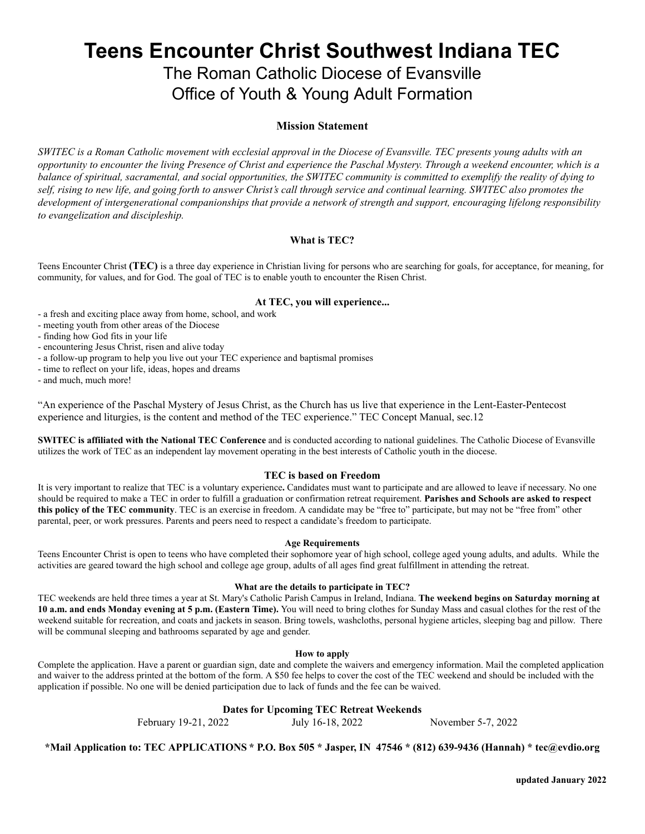# **Teens Encounter Christ Southwest Indiana TEC**

# The Roman Catholic Diocese of Evansville Office of Youth & Young Adult Formation

### **Mission Statement**

SWITEC is a Roman Catholic movement with ecclesial approval in the Diocese of Evansville. TEC presents young adults with an opportunity to encounter the living Presence of Christ and experience the Paschal Mystery. Through a weekend encounter, which is a balance of spiritual, sacramental, and social opportunities, the SWITEC community is committed to exemplify the reality of dying to self, rising to new life, and going forth to answer Christ's call through service and continual learning. SWITEC also promotes the development of intergenerational companionships that provide a network of strength and support, encouraging lifelong responsibility *to evangelization and discipleship.*

#### **What is TEC?**

Teens Encounter Christ **(TEC)** is a three day experience in Christian living for persons who are searching for goals, for acceptance, for meaning, for community, for values, and for God. The goal of TEC is to enable youth to encounter the Risen Christ.

#### **At TEC, you will experience...**

- a fresh and exciting place away from home, school, and work
- meeting youth from other areas of the Diocese

- finding how God fits in your life

- encountering Jesus Christ, risen and alive today

- a follow-up program to help you live out your TEC experience and baptismal promises

- time to reflect on your life, ideas, hopes and dreams

- and much, much more!

"An experience of the Paschal Mystery of Jesus Christ, as the Church has us live that experience in the Lent-Easter-Pentecost experience and liturgies, is the content and method of the TEC experience." TEC Concept Manual, sec.12

**SWITEC is affiliated with the National TEC Conference** and is conducted according to national guidelines. The Catholic Diocese of Evansville utilizes the work of TEC as an independent lay movement operating in the best interests of Catholic youth in the diocese.

#### **TEC is based on Freedom**

It is very important to realize that TEC is a voluntary experience**.** Candidates must want to participate and are allowed to leave if necessary. No one should be required to make a TEC in order to fulfill a graduation or confirmation retreat requirement. **Parishes and Schools are asked to respect this policy of the TEC community**. TEC is an exercise in freedom. A candidate may be "free to" participate, but may not be "free from" other parental, peer, or work pressures. Parents and peers need to respect a candidate's freedom to participate.

#### **Age Requirements**

Teens Encounter Christ is open to teens who have completed their sophomore year of high school, college aged young adults, and adults. While the activities are geared toward the high school and college age group, adults of all ages find great fulfillment in attending the retreat.

#### **What are the details to participate in TEC?**

TEC weekends are held three times a year at St. Mary's Catholic Parish Campus in Ireland, Indiana. **The weekend begins on Saturday morning at 10 a.m. and ends Monday evening at 5 p.m. (Eastern Time).** You will need to bring clothes for Sunday Mass and casual clothes for the rest of the weekend suitable for recreation, and coats and jackets in season. Bring towels, washcloths, personal hygiene articles, sleeping bag and pillow. There will be communal sleeping and bathrooms separated by age and gender.

#### **How to apply**

Complete the application. Have a parent or guardian sign, date and complete the waivers and emergency information. Mail the completed application and waiver to the address printed at the bottom of the form. A \$50 fee helps to cover the cost of the TEC weekend and should be included with the application if possible. No one will be denied participation due to lack of funds and the fee can be waived.

#### **Dates for Upcoming TEC Retreat Weekends**

February 19-21, 2022 July 16-18, 2022 November 5-7, 2022

\*Mail Application to: TEC APPLICATIONS \* P.O. Box 505 \* Jasper, IN 47546 \* (812) 639-9436 (Hannah) \* tec@evdio.org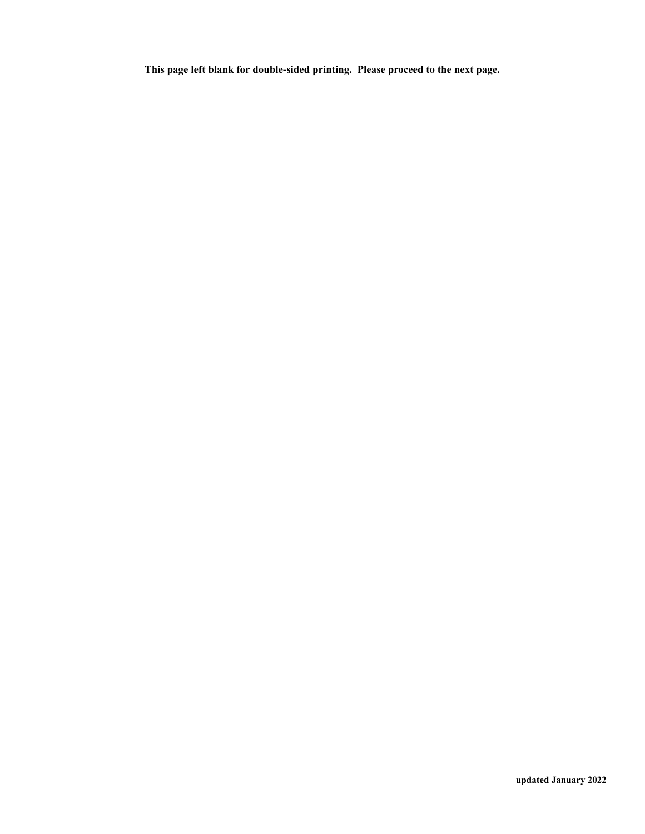**This page left blank for double-sided printing. Please proceed to the next page.**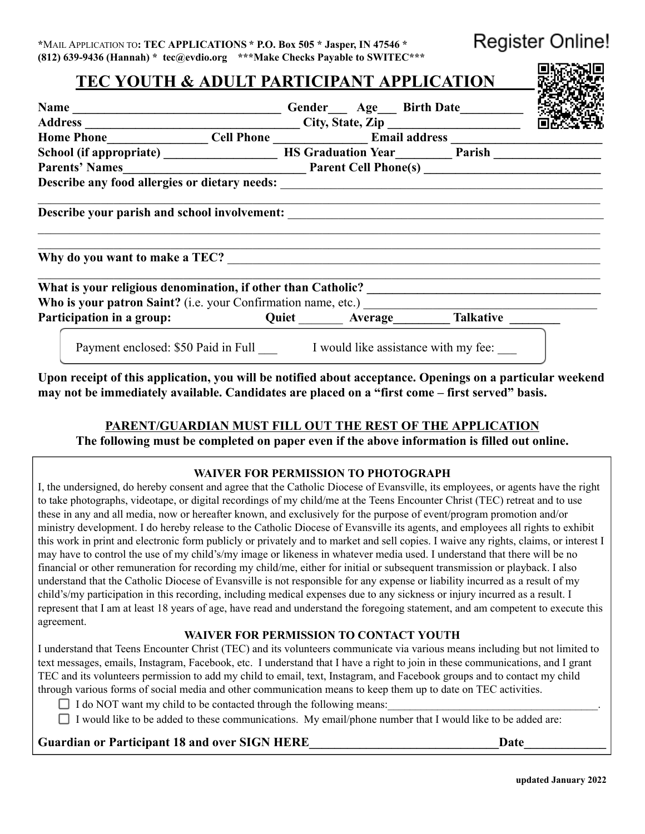**Register Online!** 

医欧克维尔氏

| TEC YOUTH & ADULT PARTICIPANT APPLICATION                                                            |  |
|------------------------------------------------------------------------------------------------------|--|
|                                                                                                      |  |
| Name Gender Age Birth Date<br>Address City, State, Zip                                               |  |
| Home Phone_________________Cell Phone __________________Email address ______________________________ |  |
| School (if appropriate) <u>Noting The Graduation Year National Parish</u>                            |  |
|                                                                                                      |  |
|                                                                                                      |  |
|                                                                                                      |  |
|                                                                                                      |  |
| Participation in a group: Cuiet Merage Malkative Marticipation in a group: Quiet Average Malkative   |  |
| Payment enclosed: \$50 Paid in Full I would like assistance with my fee:                             |  |

**Upon receipt of this application, you will be notified about acceptance. Openings on a particular weekend may not be immediately available. Candidates are placed on a "first come – first served" basis.**

## **PARENT/GUARDIAN MUST FILL OUT THE REST OF THE APPLICATION**

**The following must be completed on paper even if the above information is filled out online.**

## **WAIVER FOR PERMISSION TO PHOTOGRAPH**

I, the undersigned, do hereby consent and agree that the Catholic Diocese of Evansville, its employees, or agents have the right to take photographs, videotape, or digital recordings of my child/me at the Teens Encounter Christ (TEC) retreat and to use these in any and all media, now or hereafter known, and exclusively for the purpose of event/program promotion and/or ministry development. I do hereby release to the Catholic Diocese of Evansville its agents, and employees all rights to exhibit this work in print and electronic form publicly or privately and to market and sell copies. I waive any rights, claims, or interest I may have to control the use of my child's/my image or likeness in whatever media used. I understand that there will be no financial or other remuneration for recording my child/me, either for initial or subsequent transmission or playback. I also understand that the Catholic Diocese of Evansville is not responsible for any expense or liability incurred as a result of my child's/my participation in this recording, including medical expenses due to any sickness or injury incurred as a result. I represent that I am at least 18 years of age, have read and understand the foregoing statement, and am competent to execute this agreement.

## **WAIVER FOR PERMISSION TO CONTACT YOUTH**

I understand that Teens Encounter Christ (TEC) and its volunteers communicate via various means including but not limited to text messages, emails, Instagram, Facebook, etc. I understand that I have a right to join in these communications, and I grant TEC and its volunteers permission to add my child to email, text, Instagram, and Facebook groups and to contact my child through various forms of social media and other communication means to keep them up to date on TEC activities.

 $\Box$  I do NOT want my child to be contacted through the following means:

I would like to be added to these communications. My email/phone number that I would like to be added are:

## Guardian or Participant 18 and over SIGN HERE **The Contract of the Contract Contract Contract Contract Contract C**